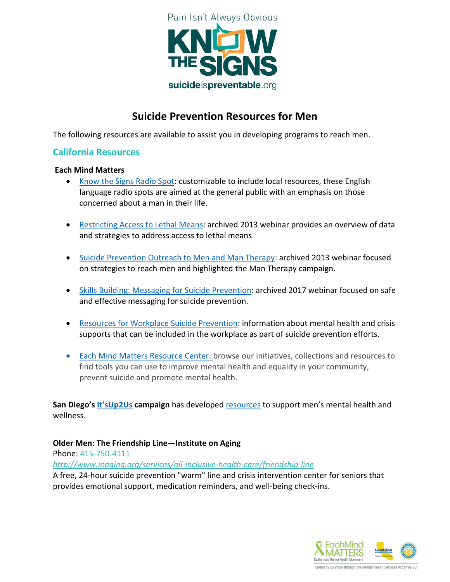

## **Suicide Prevention Resources for Men**

The following resources are available to assist you in developing programs to reach men.

#### **California Resources**

#### **Each Mind Matters**

- [Know the Signs Radio Spot:](http://emmresourcecenter.org/resources/english-radio) customizable to include local resources, these English language radio spots are aimed at the general public with an emphasis on those concerned about a man in their life.
- [Restricting Access to Lethal Means:](http://emmresourcecenter.org/resources/restricting-access-lethal-means) archived 2013 webinar provides an overview of data and strategies to address access to lethal means.
- [Suicide Prevention Outreach to Men and Man Therapy:](http://emmresourcecenter.org/resources/suicide-prevention-outreach-men-and-man-therapy-campaign) archived 2013 webinar focused on strategies to reach men and highlighted the Man Therapy campaign.
- [Skills Building: Messaging for Suicide Prevention:](http://emmresourcecenter.org/resources/skills-building-messaging-suicide-prevention) archived 2017 webinar focused on safe and effective messaging for suicide prevention.
- [Resources for Workplace Suicide Prevention:](http://www.eachmindmatters.org/change-agents/resources-for-workplace-suicide-prevention/) information about mental health and crisis supports that can be included in the workplace as part of suicide prevention efforts.
- [Each Mind Matters Resource Center: browse our initiatives, collections and resources to](http://emmresourcecenter.org/)  [find tools you can use to improve mental health and equality in your community,](http://emmresourcecenter.org/)  [prevent suicide and promote mental health.](http://emmresourcecenter.org/)

**San Diego's [It'sUp2Us](http://up2sd.org/) campaign** has developed [resources](http://up2sd.org/men/) to support men's mental health and wellness.

**Older Men: The Friendship Line—Institute on Aging**

Phone: 415-750-4111

*<http://www.ioaging.org/services/all-inclusive-health-care/friendship-line>*

A free, 24-hour suicide prevention "warm" line and crisis intervention center for seniors that provides emotional support, medication reminders, and well-being check-ins.

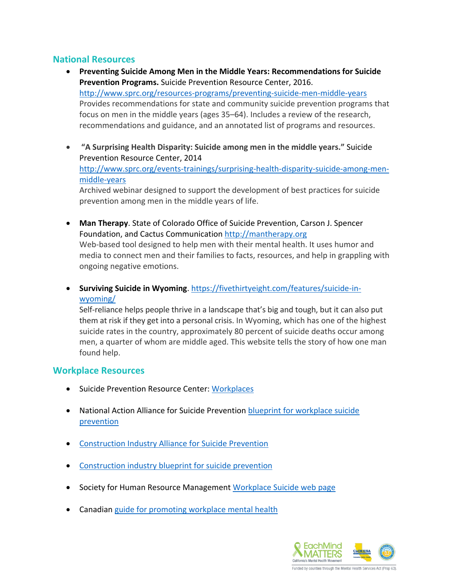#### **National Resources**

- **Preventing Suicide Among Men in the Middle Years: Recommendations for Suicide Prevention Programs.** Suicide Prevention Resource Center, 2016. <http://www.sprc.org/resources-programs/preventing-suicide-men-middle-years> Provides recommendations for state and community suicide prevention programs that focus on men in the middle years (ages 35–64). Includes a review of the research, recommendations and guidance, and an annotated list of programs and resources.
- **"A Surprising Health Disparity: Suicide among men in the middle years."** Suicide Prevention Resource Center, 2014 [http://www.sprc.org/events-trainings/surprising-health-disparity-suicide-among-men](http://www.sprc.org/events-trainings/surprising-health-disparity-suicide-among-men-middle-years)[middle-years](http://www.sprc.org/events-trainings/surprising-health-disparity-suicide-among-men-middle-years) Archived webinar designed to support the development of best practices for suicide prevention among men in the middle years of life.
- **Man Therapy**. State of Colorado Office of Suicide Prevention, Carson J. Spencer Foundation, and Cactus Communication [http://mantherapy.org](http://mantherapy.org/) Web-based tool designed to help men with their mental health. It uses humor and media to connect men and their families to facts, resources, and help in grappling with ongoing negative emotions.
- **Surviving Suicide in Wyoming.** [https://fivethirtyeight.com/features/suicide-in](https://fivethirtyeight.com/features/suicide-in-wyoming/)[wyoming/](https://fivethirtyeight.com/features/suicide-in-wyoming/)

Self-reliance helps people thrive in a landscape that's big and tough, but it can also put them at risk if they get into a personal crisis. In Wyoming, which has one of the highest suicide rates in the country, approximately 80 percent of suicide deaths occur among men, a quarter of whom are middle aged. This website tells the story of how one man found help.

#### **Workplace Resources**

- **•** Suicide Prevention Resource Center: [Workplaces](http://www.sprc.org/settings/workplaces)
- National Action Alliance for Suicide Prevention [blueprint for workplace suicide](http://actionallianceforsuicideprevention.org/comprehensive-blueprint-workplace-suicide-prevention-1)  [prevention](http://actionallianceforsuicideprevention.org/comprehensive-blueprint-workplace-suicide-prevention-1)
- [Construction Industry Alliance for Suicide Prevention](http://www.cfma.org/news/content.cfm?ItemNumber=4570)
- [Construction industry blueprint for suicide prevention](http://actionallianceforsuicideprevention.org/sites/actionallianceforsuicideprevention.org/files/Suicide%20Prevention%20in%20the%20Workplace%20-%20Final.pdf)
- **•** Society for Human Resource Management [Workplace Suicide web page](https://www.shrm.org/resourcesandtools/hr-topics/employee-relations/pages/workplace-suicide-.aspx)
- Canadian [guide for promoting workplace mental health](https://www.workplacestrategiesformentalhealth.com/job-specific-strategies/suicide-prevention)